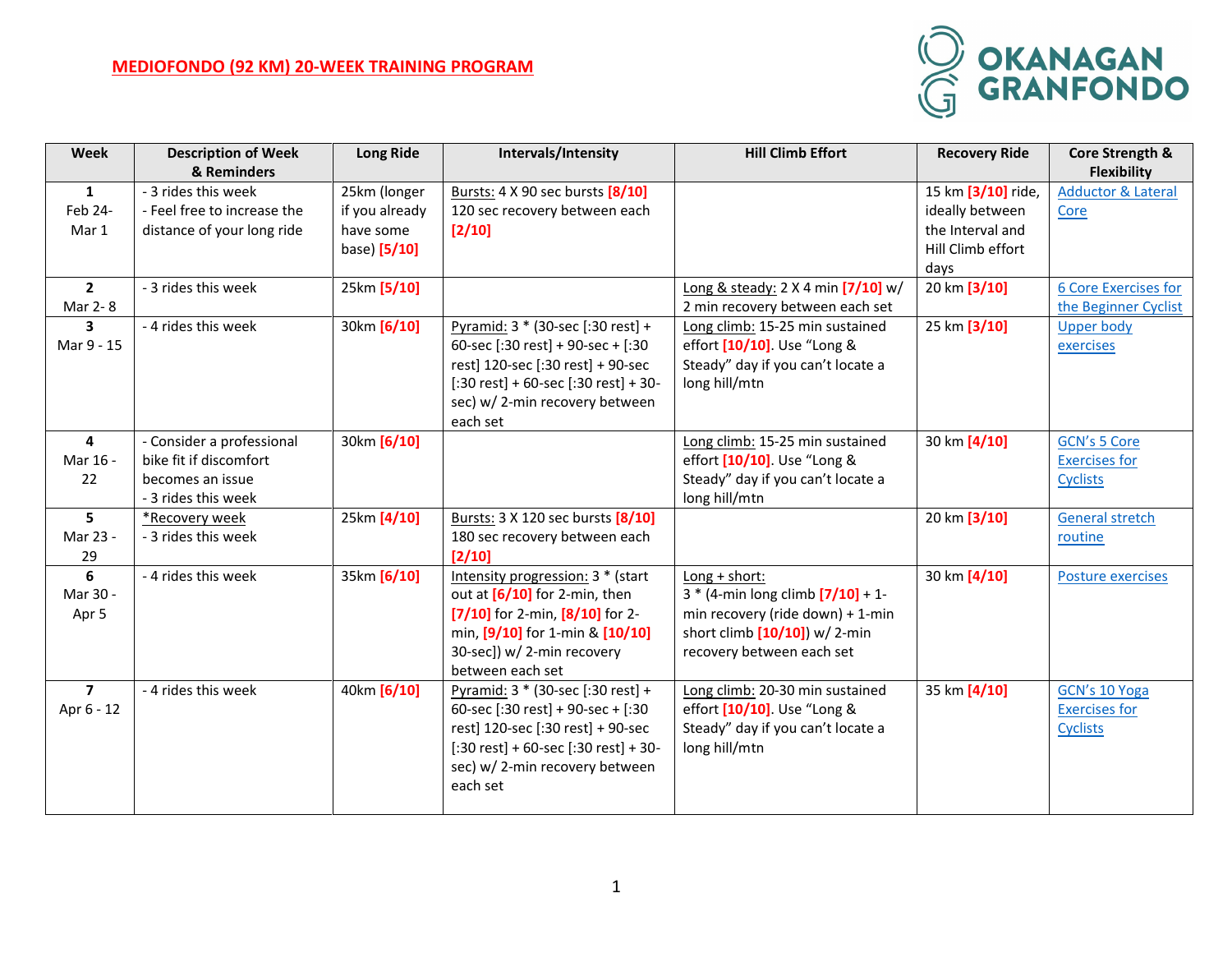## **MEDIOFONDO (92 KM) 20-WEEK TRAINING PROGRAM**



| <b>Week</b>    | <b>Description of Week</b><br>& Reminders | <b>Long Ride</b> | Intervals/Intensity                                                    | <b>Hill Climb Effort</b>                                             | <b>Recovery Ride</b> | Core Strength &<br><b>Flexibility</b> |
|----------------|-------------------------------------------|------------------|------------------------------------------------------------------------|----------------------------------------------------------------------|----------------------|---------------------------------------|
| $\mathbf{1}$   | - 3 rides this week                       | 25km (longer     | Bursts: 4 X 90 sec bursts [8/10]                                       |                                                                      | 15 km [3/10] ride,   | <b>Adductor &amp; Lateral</b>         |
| Feb 24-        | - Feel free to increase the               | if you already   | 120 sec recovery between each                                          |                                                                      | ideally between      | Core                                  |
| Mar 1          | distance of your long ride                | have some        | $[2/10]$                                                               |                                                                      | the Interval and     |                                       |
|                |                                           | base) [5/10]     |                                                                        |                                                                      | Hill Climb effort    |                                       |
|                |                                           |                  |                                                                        |                                                                      | days                 |                                       |
| $\mathbf{2}$   | - 3 rides this week                       | 25km [5/10]      |                                                                        | Long & steady: 2 X 4 min [7/10] w/                                   | 20 km [3/10]         | <b>6 Core Exercises for</b>           |
| Mar 2-8        |                                           |                  |                                                                        | 2 min recovery between each set                                      |                      | the Beginner Cyclist                  |
| 3              | - 4 rides this week                       | 30km [6/10]      | Pyramid: 3 * (30-sec [:30 rest] +                                      | Long climb: 15-25 min sustained                                      | 25 km [3/10]         | <b>Upper body</b>                     |
| Mar 9 - 15     |                                           |                  | 60-sec [:30 rest] + 90-sec + [:30                                      | effort [10/10]. Use "Long &                                          |                      | exercises                             |
|                |                                           |                  | rest] 120-sec [:30 rest] + 90-sec                                      | Steady" day if you can't locate a                                    |                      |                                       |
|                |                                           |                  | $[:30 \text{ rest}] + 60$ -sec $[:30 \text{ rest}] + 30$ -             | long hill/mtn                                                        |                      |                                       |
|                |                                           |                  | sec) w/2-min recovery between                                          |                                                                      |                      |                                       |
|                |                                           |                  | each set                                                               |                                                                      |                      |                                       |
| 4              | - Consider a professional                 | 30km [6/10]      |                                                                        | Long climb: 15-25 min sustained                                      | 30 km [4/10]         | <b>GCN's 5 Core</b>                   |
| Mar 16 -       | bike fit if discomfort                    |                  |                                                                        | effort [10/10]. Use "Long &                                          |                      | <b>Exercises for</b>                  |
| 22             | becomes an issue                          |                  |                                                                        | Steady" day if you can't locate a                                    |                      | <b>Cyclists</b>                       |
|                | - 3 rides this week                       |                  |                                                                        | long hill/mtn                                                        |                      |                                       |
| 5              | *Recovery week                            | 25km [4/10]      | Bursts: 3 X 120 sec bursts [8/10]                                      |                                                                      | 20 km [3/10]         | <b>General stretch</b>                |
| Mar 23 -       | - 3 rides this week                       |                  | 180 sec recovery between each                                          |                                                                      |                      | routine                               |
| 29             |                                           |                  | $[2/10]$                                                               |                                                                      |                      |                                       |
| 6              | - 4 rides this week                       | 35km [6/10]      | Intensity progression: 3 * (start                                      | Long + short:                                                        | 30 km [4/10]         | Posture exercises                     |
| Mar 30 -       |                                           |                  | out at $[6/10]$ for 2-min, then<br>$[7/10]$ for 2-min, $[8/10]$ for 2- | $3 * (4 - min long climb [7/10] + 1 -$                               |                      |                                       |
| Apr 5          |                                           |                  | min, [9/10] for 1-min & [10/10]                                        | min recovery (ride down) + 1-min<br>short climb $[10/10]$ ) w/ 2-min |                      |                                       |
|                |                                           |                  | 30-sec]) w/ 2-min recovery                                             | recovery between each set                                            |                      |                                       |
|                |                                           |                  | between each set                                                       |                                                                      |                      |                                       |
| $\overline{7}$ | - 4 rides this week                       | 40km [6/10]      | Pyramid: 3 * (30-sec [:30 rest] +                                      | Long climb: 20-30 min sustained                                      | 35 km [4/10]         | GCN's 10 Yoga                         |
| Apr 6 - 12     |                                           |                  | 60-sec [:30 rest] + 90-sec + [:30                                      | effort [10/10]. Use "Long &                                          |                      | <b>Exercises for</b>                  |
|                |                                           |                  | rest] 120-sec [:30 rest] + 90-sec                                      | Steady" day if you can't locate a                                    |                      | <b>Cyclists</b>                       |
|                |                                           |                  | $[:30 \text{ rest}] + 60$ -sec $[:30 \text{ rest}] + 30$ -             | long hill/mtn                                                        |                      |                                       |
|                |                                           |                  | sec) w/2-min recovery between                                          |                                                                      |                      |                                       |
|                |                                           |                  | each set                                                               |                                                                      |                      |                                       |
|                |                                           |                  |                                                                        |                                                                      |                      |                                       |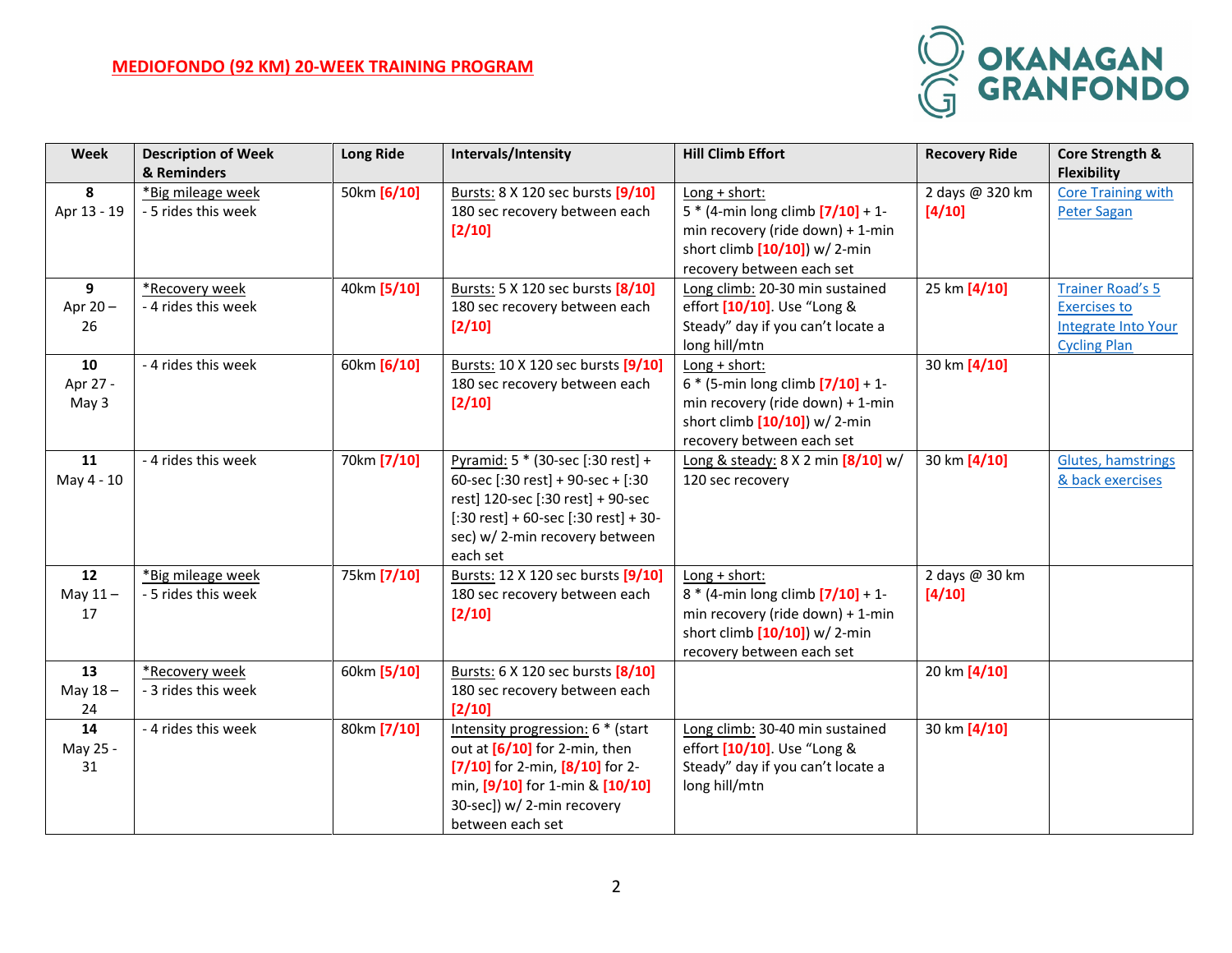## **MEDIOFONDO (92 KM) 20-WEEK TRAINING PROGRAM**



| Week        | <b>Description of Week</b> | <b>Long Ride</b> | Intervals/Intensity                                           | <b>Hill Climb Effort</b>                                             | <b>Recovery Ride</b> | Core Strength &            |
|-------------|----------------------------|------------------|---------------------------------------------------------------|----------------------------------------------------------------------|----------------------|----------------------------|
|             | & Reminders                |                  |                                                               |                                                                      |                      | <b>Flexibility</b>         |
| 8           | *Big mileage week          | 50km [6/10]      | Bursts: 8 X 120 sec bursts [9/10]                             | $Long + short:$                                                      | 2 days @ 320 km      | <b>Core Training with</b>  |
| Apr 13 - 19 | - 5 rides this week        |                  | 180 sec recovery between each                                 | $5 * (4 - min long climb [7/10] + 1 -$                               | [4/10]               | Peter Sagan                |
|             |                            |                  | $[2/10]$                                                      | min recovery (ride down) + 1-min                                     |                      |                            |
|             |                            |                  |                                                               | short climb $[10/10]$ ) w/ 2-min                                     |                      |                            |
|             |                            |                  |                                                               | recovery between each set                                            |                      |                            |
| 9           | *Recovery week             | 40km [5/10]      | Bursts: 5 X 120 sec bursts [8/10]                             | Long climb: 20-30 min sustained                                      | 25 km [4/10]         | <b>Trainer Road's 5</b>    |
| Apr 20-     | - 4 rides this week        |                  | 180 sec recovery between each                                 | effort [10/10]. Use "Long &                                          |                      | <b>Exercises to</b>        |
| 26          |                            |                  | $[2/10]$                                                      | Steady" day if you can't locate a                                    |                      | <b>Integrate Into Your</b> |
|             |                            |                  |                                                               | long hill/mtn                                                        |                      | <b>Cycling Plan</b>        |
| 10          | - 4 rides this week        | 60km [6/10]      | Bursts: 10 X 120 sec bursts [9/10]                            | Long + short:                                                        | 30 km [4/10]         |                            |
| Apr 27 -    |                            |                  | 180 sec recovery between each                                 | $6 * (5 - min long climb [7/10] + 1 -$                               |                      |                            |
| May 3       |                            |                  | $[2/10]$                                                      | min recovery (ride down) + 1-min<br>short climb $[10/10]$ ) w/ 2-min |                      |                            |
|             |                            |                  |                                                               | recovery between each set                                            |                      |                            |
| 11          | - 4 rides this week        | 70km [7/10]      | Pyramid: 5 * (30-sec [:30 rest] +                             | Long & steady: $8 \times 2$ min $\left[\frac{8}{10}\right]$ w/       | 30 km [4/10]         | Glutes, hamstrings         |
| May 4 - 10  |                            |                  | 60-sec [:30 rest] + 90-sec + [:30                             | 120 sec recovery                                                     |                      | & back exercises           |
|             |                            |                  | rest] 120-sec [:30 rest] + 90-sec                             |                                                                      |                      |                            |
|             |                            |                  | $[:30 \text{ rest}] + 60\text{-sec}[:30 \text{ rest}] + 30$ - |                                                                      |                      |                            |
|             |                            |                  | sec) w/2-min recovery between                                 |                                                                      |                      |                            |
|             |                            |                  | each set                                                      |                                                                      |                      |                            |
| 12          | *Big mileage week          | 75km [7/10]      | Bursts: 12 X 120 sec bursts [9/10]                            | Long + short:                                                        | 2 days @ 30 km       |                            |
| May $11-$   | - 5 rides this week        |                  | 180 sec recovery between each                                 | $8 * (4 - min long climb [7/10] + 1 -$                               | [4/10]               |                            |
| 17          |                            |                  | $[2/10]$                                                      | min recovery (ride down) + 1-min                                     |                      |                            |
|             |                            |                  |                                                               | short climb $[10/10]$ ) w/ 2-min                                     |                      |                            |
|             |                            |                  |                                                               | recovery between each set                                            |                      |                            |
| 13          | *Recovery week             | 60km [5/10]      | Bursts: 6 X 120 sec bursts [8/10]                             |                                                                      | 20 km [4/10]         |                            |
| May $18 -$  | - 3 rides this week        |                  | 180 sec recovery between each                                 |                                                                      |                      |                            |
| 24          |                            |                  | [2/10]                                                        |                                                                      |                      |                            |
| 14          | - 4 rides this week        | 80km [7/10]      | Intensity progression: 6 * (start                             | Long climb: 30-40 min sustained                                      | 30 km [4/10]         |                            |
| May 25 -    |                            |                  | out at $[6/10]$ for 2-min, then                               | effort [10/10]. Use "Long &                                          |                      |                            |
| 31          |                            |                  | [7/10] for 2-min, $[8/10]$ for 2-                             | Steady" day if you can't locate a                                    |                      |                            |
|             |                            |                  | min, [9/10] for 1-min & [10/10]                               | long hill/mtn                                                        |                      |                            |
|             |                            |                  | 30-sec]) w/ 2-min recovery                                    |                                                                      |                      |                            |
|             |                            |                  | between each set                                              |                                                                      |                      |                            |